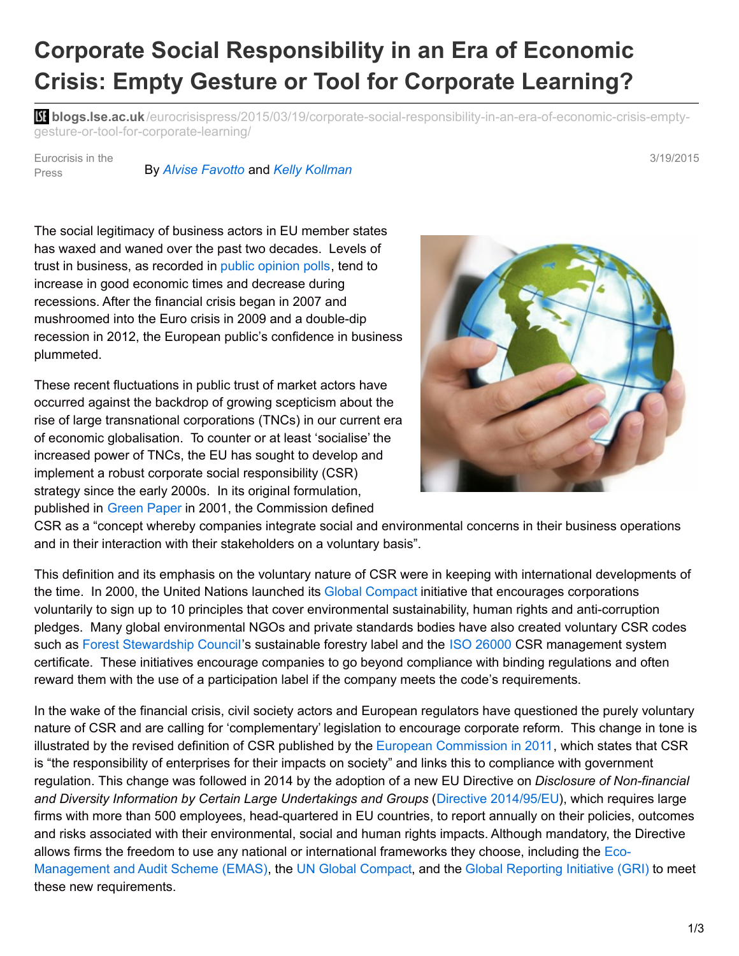## **Corporate Social Responsibility in an Era of Economic Crisis: Empty Gesture or Tool for Corporate Learning?**

**bli blogs.lse.ac.uk**[/eurocrisispress/2015/03/19/corporate-social-responsibility-in-an-era-of-economic-crisis-empty](http://blogs.lse.ac.uk/eurocrisispress/2015/03/19/corporate-social-responsibility-in-an-era-of-economic-crisis-empty-gesture-or-tool-for-corporate-learning/)gesture-or-tool-for-corporate-learning/

Eurocrisis in the Press

## By *Alvise [Favotto](http://blogs.lse.ac.uk/eurocrisispress/contributors-2/guest-contributors/d-f/)* and *Kelly [Kollman](http://blogs.lse.ac.uk/eurocrisispress/contributors-2/guest-contributors/j-l/)*

The social legitimacy of business actors in EU member states has waxed and waned over the past two decades. Levels of trust in business, as recorded in public [opinion](http://www.edelman.com/insights/intellectual-property/2014-edelman-trust-barometer/about-trust/global-results/) polls, tend to increase in good economic times and decrease during recessions. After the financial crisis began in 2007 and mushroomed into the Euro crisis in 2009 and a double-dip recession in 2012, the European public's confidence in business plummeted.

These recent fluctuations in public trust of market actors have occurred against the backdrop of growing scepticism about the rise of large transnational corporations (TNCs) in our current era of economic globalisation. To counter or at least 'socialise' the increased power of TNCs, the EU has sought to develop and implement a robust corporate social responsibility (CSR) strategy since the early 2000s. In its original formulation, published in [Green](http://eur-lex.europa.eu/legal-content/EN/TXT/?uri=CELEX:52001DC0366) Paper in 2001, the Commission defined



CSR as a "concept whereby companies integrate social and environmental concerns in their business operations and in their interaction with their stakeholders on a voluntary basis".

This definition and its emphasis on the voluntary nature of CSR were in keeping with international developments of the time. In 2000, the United Nations launched its Global [Compact](https://www.unglobalcompact.org/) initiative that encourages corporations voluntarily to sign up to 10 principles that cover environmental sustainability, human rights and anti-corruption pledges. Many global environmental NGOs and private standards bodies have also created voluntary CSR codes such as Forest [Stewardship](https://ic.fsc.org/index.htm) Council's sustainable forestry label and the ISO [26000](http://www.iso.org/iso/home/standards/iso26000.htm) CSR management system certificate. These initiatives encourage companies to go beyond compliance with binding regulations and often reward them with the use of a participation label if the company meets the code's requirements.

In the wake of the financial crisis, civil society actors and European regulators have questioned the purely voluntary nature of CSR and are calling for 'complementary' legislation to encourage corporate reform. This change in tone is illustrated by the revised definition of CSR published by the European [Commission](http://eur-lex.europa.eu/LexUriServ/LexUriServ.do?uri=COM:2011:0681:FIN:EN:PDF) in 2011, which states that CSR is "the responsibility of enterprises for their impacts on society" and links this to compliance with government regulation. This change was followed in 2014 by the adoption of a new EU Directive on *Disclosure of Non-financial and Diversity Information by Certain Large Undertakings and Groups* (Directive [2014/95/EU](http://eur-lex.europa.eu/legal-content/EN/TXT/?uri=CELEX:32014L0095)), which requires large firms with more than 500 employees, head-quartered in EU countries, to report annually on their policies, outcomes and risks associated with their environmental, social and human rights impacts. Although mandatory, the Directive allows firms the freedom to use any national or [international](http://ec.europa.eu/environment/emas/index_en.htm) frameworks they choose, including the Eco-Management and Audit Scheme (EMAS), the UN Global [Compact](https://www.unglobalcompact.org/), and the Global [Reporting](https://www.globalreporting.org/Pages/default.aspx) Initiative (GRI) to meet these new requirements.

3/19/2015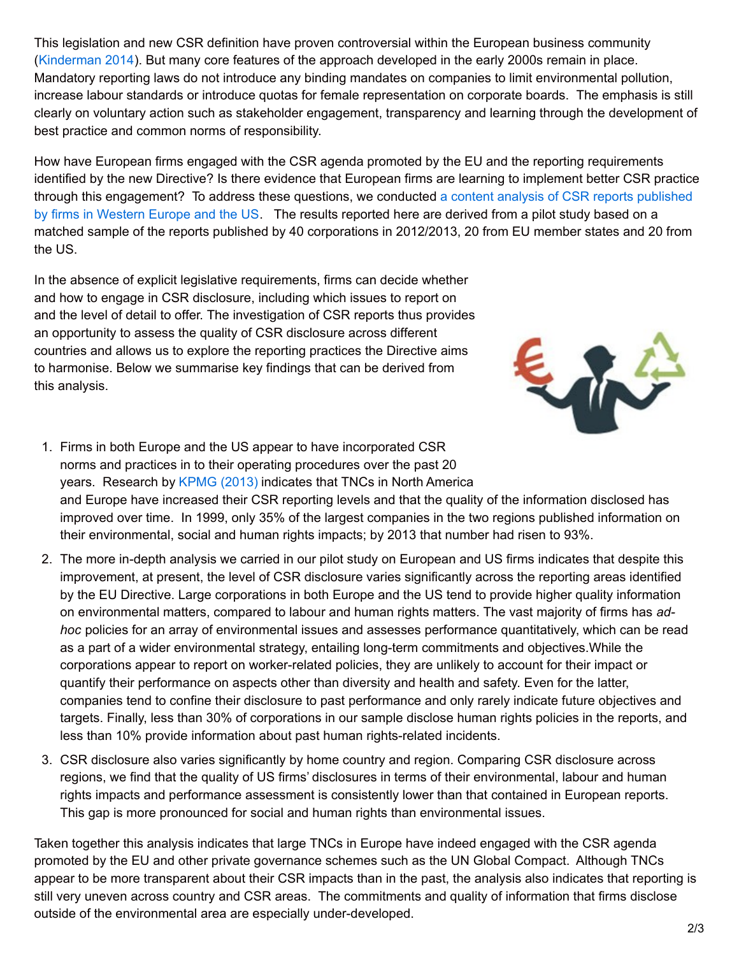This legislation and new CSR definition have proven controversial within the European business community ([Kinderman](http://onlinelibrary.wiley.com/doi/10.1111/jcms.12021/full) 2014). But many core features of the approach developed in the early 2000s remain in place. Mandatory reporting laws do not introduce any binding mandates on companies to limit environmental pollution, increase labour standards or introduce quotas for female representation on corporate boards. The emphasis is still clearly on voluntary action such as stakeholder engagement, transparency and learning through the development of best practice and common norms of responsibility.

How have European firms engaged with the CSR agenda promoted by the EU and the reporting requirements identified by the new Directive? Is there evidence that European firms are learning to implement better CSR practice through this [engagement?](http://www.abdn.ac.uk/research/borderlesspolitics/) To address these questions, we conducted a content analysis of CSR reports published by firms in Western Europe and the US. The results reported here are derived from a pilot study based on a matched sample of the reports published by 40 corporations in 2012/2013, 20 from EU member states and 20 from the US.

In the absence of explicit legislative requirements, firms can decide whether and how to engage in CSR disclosure, including which issues to report on and the level of detail to offer. The investigation of CSR reports thus provides an opportunity to assess the quality of CSR disclosure across different countries and allows us to explore the reporting practices the Directive aims to harmonise. Below we summarise key findings that can be derived from this analysis.



- 1. Firms in both Europe and the US appear to have incorporated CSR norms and practices in to their operating procedures over the past 20 years. Research by [KPMG](http://www.kpmg.com/Global/en/IssuesAndInsights/ArticlesPublications/corporate-responsibility/Documents/corporate-responsibility-reporting-survey-2013-exec-summary.pdf) (2013) indicates that TNCs in North America and Europe have increased their CSR reporting levels and that the quality of the information disclosed has improved over time. In 1999, only 35% of the largest companies in the two regions published information on their environmental, social and human rights impacts; by 2013 that number had risen to 93%.
- 2. The more in-depth analysis we carried in our pilot study on European and US firms indicates that despite this improvement, at present, the level of CSR disclosure varies significantly across the reporting areas identified by the EU Directive. Large corporations in both Europe and the US tend to provide higher quality information on environmental matters, compared to labour and human rights matters. The vast majority of firms has *adhoc* policies for an array of environmental issues and assesses performance quantitatively, which can be read as a part of a wider environmental strategy, entailing long-term commitments and objectives.While the corporations appear to report on worker-related policies, they are unlikely to account for their impact or quantify their performance on aspects other than diversity and health and safety. Even for the latter, companies tend to confine their disclosure to past performance and only rarely indicate future objectives and targets. Finally, less than 30% of corporations in our sample disclose human rights policies in the reports, and less than 10% provide information about past human rights-related incidents.
- 3. CSR disclosure also varies significantly by home country and region. Comparing CSR disclosure across regions, we find that the quality of US firms' disclosures in terms of their environmental, labour and human rights impacts and performance assessment is consistently lower than that contained in European reports. This gap is more pronounced for social and human rights than environmental issues.

Taken together this analysis indicates that large TNCs in Europe have indeed engaged with the CSR agenda promoted by the EU and other private governance schemes such as the UN Global Compact. Although TNCs appear to be more transparent about their CSR impacts than in the past, the analysis also indicates that reporting is still very uneven across country and CSR areas. The commitments and quality of information that firms disclose outside of the environmental area are especially under-developed.